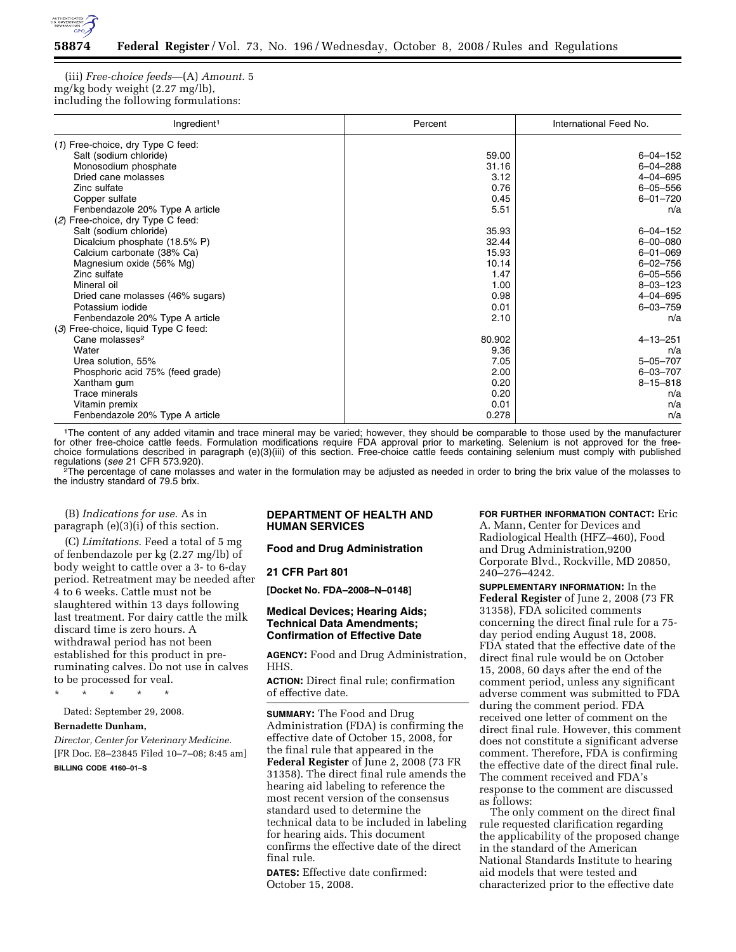

(iii) *Free-choice feeds*—(A) *Amount*. 5 mg/kg body weight (2.27 mg/lb), including the following formulations:

| Ingredient <sup>1</sup>              | Percent | International Feed No. |
|--------------------------------------|---------|------------------------|
| (1) Free-choice, dry Type C feed:    |         |                        |
| Salt (sodium chloride)               | 59.00   | $6 - 04 - 152$         |
| Monosodium phosphate                 | 31.16   | $6 - 04 - 288$         |
| Dried cane molasses                  | 3.12    | $4 - 04 - 695$         |
| Zinc sulfate                         | 0.76    | $6 - 05 - 556$         |
| Copper sulfate                       | 0.45    | $6 - 01 - 720$         |
| Fenbendazole 20% Type A article      | 5.51    | n/a                    |
| (2) Free-choice, dry Type C feed:    |         |                        |
| Salt (sodium chloride)               | 35.93   | $6 - 04 - 152$         |
| Dicalcium phosphate (18.5% P)        | 32.44   | $6 - 00 - 080$         |
| Calcium carbonate (38% Ca)           | 15.93   | $6 - 01 - 069$         |
| Magnesium oxide (56% Mg)             | 10.14   | $6 - 02 - 756$         |
| Zinc sulfate                         | 1.47    | $6 - 05 - 556$         |
| Mineral oil                          | 1.00    | $8 - 03 - 123$         |
| Dried cane molasses (46% sugars)     | 0.98    | $4 - 04 - 695$         |
| Potassium iodide                     | 0.01    | $6 - 03 - 759$         |
| Fenbendazole 20% Type A article      | 2.10    | n/a                    |
| (3) Free-choice, liquid Type C feed: |         |                        |
| Cane molasses <sup>2</sup>           | 80.902  | $4 - 13 - 251$         |
| Water                                | 9.36    | n/a                    |
| Urea solution, 55%                   | 7.05    | $5 - 05 - 707$         |
| Phosphoric acid 75% (feed grade)     | 2.00    | $6 - 03 - 707$         |
| Xantham gum                          | 0.20    | $8 - 15 - 818$         |
| <b>Trace minerals</b>                | 0.20    | n/a                    |
| Vitamin premix                       | 0.01    | n/a                    |
| Fenbendazole 20% Type A article      | 0.278   | n/a                    |

<sup>1</sup>The content of any added vitamin and trace mineral may be varied; however, they should be comparable to those used by the manufacturer for other free-choice cattle feeds. Formulation modifications require FDA approval prior to marketing. Selenium is not approved for the freechoice formulations described in paragraph (e)(3)(iii) of this section. Free-choice cattle feeds containing selenium must comply with published regulations (*see* 21 CFR 573.920). 2The percentage of cane molasses and water in the formulation may be adjusted as needed in order to bring the brix value of the molasses to

the industry standard of 79.5 brix.

(B) *Indications for use*. As in paragraph (e)(3)(i) of this section.

(C) *Limitations*. Feed a total of 5 mg of fenbendazole per kg (2.27 mg/lb) of body weight to cattle over a 3- to 6-day period. Retreatment may be needed after 4 to 6 weeks. Cattle must not be slaughtered within 13 days following last treatment. For dairy cattle the milk discard time is zero hours. A withdrawal period has not been established for this product in preruminating calves. Do not use in calves to be processed for veal.

\* \* \* \* \*

Dated: September 29, 2008.

## **Bernadette Dunham,**

*Director, Center for Veterinary Medicine.*  [FR Doc. E8–23845 Filed 10–7–08; 8:45 am]

## **BILLING CODE 4160–01–S**

## **DEPARTMENT OF HEALTH AND HUMAN SERVICES**

## **Food and Drug Administration**

### **21 CFR Part 801**

**[Docket No. FDA–2008–N–0148]** 

## **Medical Devices; Hearing Aids; Technical Data Amendments; Confirmation of Effective Date**

**AGENCY:** Food and Drug Administration, HHS.

**ACTION:** Direct final rule; confirmation of effective date.

**SUMMARY:** The Food and Drug Administration (FDA) is confirming the effective date of October 15, 2008, for the final rule that appeared in the **Federal Register** of June 2, 2008 (73 FR 31358). The direct final rule amends the hearing aid labeling to reference the most recent version of the consensus standard used to determine the technical data to be included in labeling for hearing aids. This document confirms the effective date of the direct final rule.

**DATES:** Effective date confirmed: October 15, 2008.

# **FOR FURTHER INFORMATION CONTACT:** Eric

A. Mann, Center for Devices and Radiological Health (HFZ–460), Food and Drug Administration,9200 Corporate Blvd., Rockville, MD 20850, 240–276–4242.

**SUPPLEMENTARY INFORMATION:** In the **Federal Register** of June 2, 2008 (73 FR 31358), FDA solicited comments concerning the direct final rule for a 75 day period ending August 18, 2008. FDA stated that the effective date of the direct final rule would be on October 15, 2008, 60 days after the end of the comment period, unless any significant adverse comment was submitted to FDA during the comment period. FDA received one letter of comment on the direct final rule. However, this comment does not constitute a significant adverse comment. Therefore, FDA is confirming the effective date of the direct final rule. The comment received and FDA's response to the comment are discussed as follows:

The only comment on the direct final rule requested clarification regarding the applicability of the proposed change in the standard of the American National Standards Institute to hearing aid models that were tested and characterized prior to the effective date